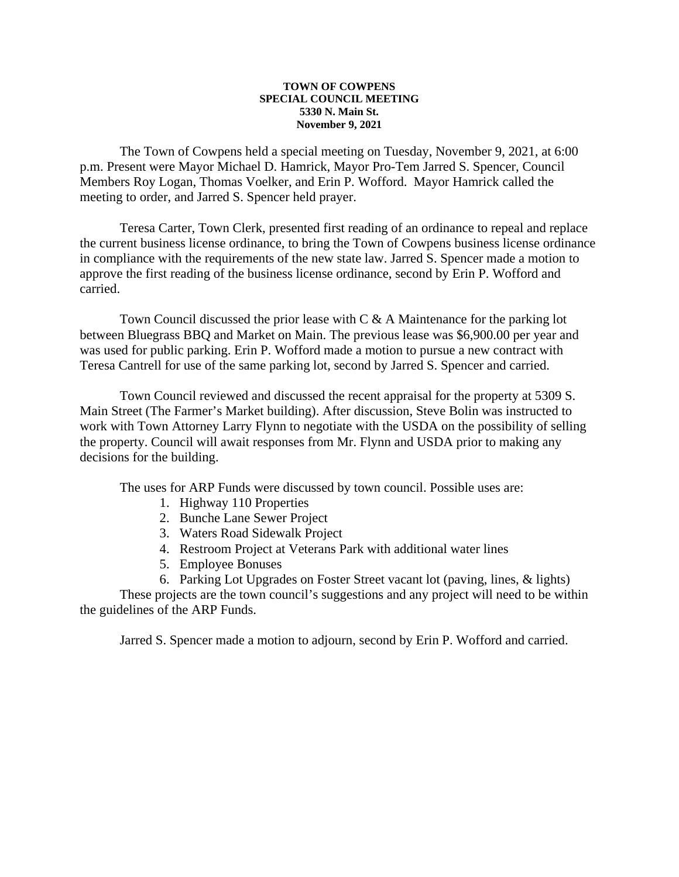## **TOWN OF COWPENS SPECIAL COUNCIL MEETING 5330 N. Main St. November 9, 2021**

The Town of Cowpens held a special meeting on Tuesday, November 9, 2021, at 6:00 p.m. Present were Mayor Michael D. Hamrick, Mayor Pro-Tem Jarred S. Spencer, Council Members Roy Logan, Thomas Voelker, and Erin P. Wofford. Mayor Hamrick called the meeting to order, and Jarred S. Spencer held prayer.

Teresa Carter, Town Clerk, presented first reading of an ordinance to repeal and replace the current business license ordinance, to bring the Town of Cowpens business license ordinance in compliance with the requirements of the new state law. Jarred S. Spencer made a motion to approve the first reading of the business license ordinance, second by Erin P. Wofford and carried.

Town Council discussed the prior lease with C & A Maintenance for the parking lot between Bluegrass BBQ and Market on Main. The previous lease was \$6,900.00 per year and was used for public parking. Erin P. Wofford made a motion to pursue a new contract with Teresa Cantrell for use of the same parking lot, second by Jarred S. Spencer and carried.

Town Council reviewed and discussed the recent appraisal for the property at 5309 S. Main Street (The Farmer's Market building). After discussion, Steve Bolin was instructed to work with Town Attorney Larry Flynn to negotiate with the USDA on the possibility of selling the property. Council will await responses from Mr. Flynn and USDA prior to making any decisions for the building.

The uses for ARP Funds were discussed by town council. Possible uses are:

- 1. Highway 110 Properties
- 2. Bunche Lane Sewer Project
- 3. Waters Road Sidewalk Project
- 4. Restroom Project at Veterans Park with additional water lines
- 5. Employee Bonuses
- 6. Parking Lot Upgrades on Foster Street vacant lot (paving, lines, & lights)

These projects are the town council's suggestions and any project will need to be within the guidelines of the ARP Funds.

Jarred S. Spencer made a motion to adjourn, second by Erin P. Wofford and carried.